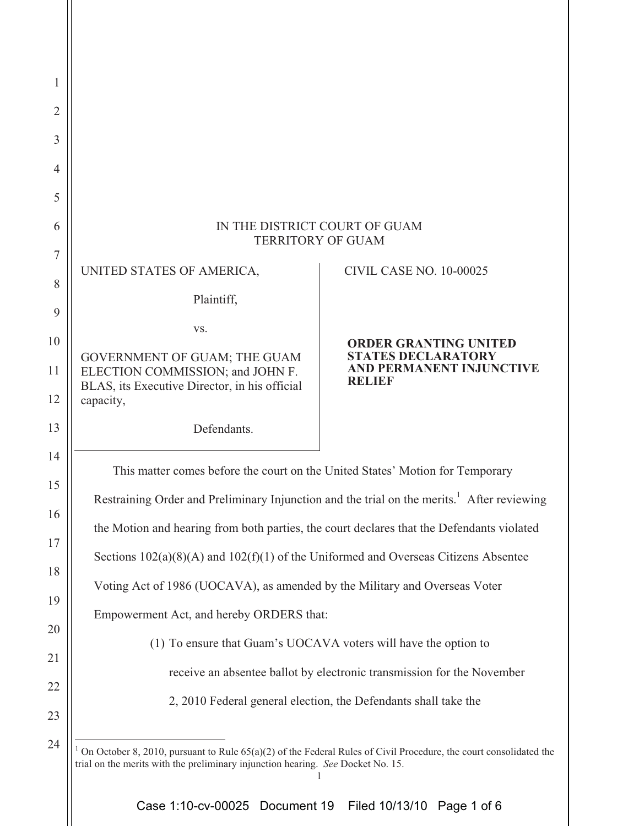| $\mathbf{1}$   |                                                                                                                                                                                                      |                                                                               |  |  |  |
|----------------|------------------------------------------------------------------------------------------------------------------------------------------------------------------------------------------------------|-------------------------------------------------------------------------------|--|--|--|
| $\overline{2}$ |                                                                                                                                                                                                      |                                                                               |  |  |  |
| 3              |                                                                                                                                                                                                      |                                                                               |  |  |  |
| $\overline{4}$ |                                                                                                                                                                                                      |                                                                               |  |  |  |
| 5              |                                                                                                                                                                                                      |                                                                               |  |  |  |
| 6              | IN THE DISTRICT COURT OF GUAM<br><b>TERRITORY OF GUAM</b>                                                                                                                                            |                                                                               |  |  |  |
| $\overline{7}$ |                                                                                                                                                                                                      |                                                                               |  |  |  |
| 8              | UNITED STATES OF AMERICA,                                                                                                                                                                            | <b>CIVIL CASE NO. 10-00025</b>                                                |  |  |  |
| 9              | Plaintiff,                                                                                                                                                                                           |                                                                               |  |  |  |
| 10             | VS.                                                                                                                                                                                                  | <b>ORDER GRANTING UNITED</b>                                                  |  |  |  |
| 11             | GOVERNMENT OF GUAM; THE GUAM<br>ELECTION COMMISSION; and JOHN F.                                                                                                                                     | <b>STATES DECLARATORY</b><br><b>AND PERMANENT INJUNCTIVE</b><br><b>RELIEF</b> |  |  |  |
| 12             | BLAS, its Executive Director, in his official<br>capacity,                                                                                                                                           |                                                                               |  |  |  |
| 13             | Defendants.                                                                                                                                                                                          |                                                                               |  |  |  |
| 14             | This matter comes before the court on the United States' Motion for Temporary                                                                                                                        |                                                                               |  |  |  |
| 15             | Restraining Order and Preliminary Injunction and the trial on the merits. <sup>1</sup> After reviewing                                                                                               |                                                                               |  |  |  |
| 16             | the Motion and hearing from both parties, the court declares that the Defendants violated                                                                                                            |                                                                               |  |  |  |
| 17             | Sections $102(a)(8)(A)$ and $102(f)(1)$ of the Uniformed and Overseas Citizens Absentee                                                                                                              |                                                                               |  |  |  |
| 18             | Voting Act of 1986 (UOCAVA), as amended by the Military and Overseas Voter                                                                                                                           |                                                                               |  |  |  |
| 19             | Empowerment Act, and hereby ORDERS that:                                                                                                                                                             |                                                                               |  |  |  |
| 20             | (1) To ensure that Guam's UOCAVA voters will have the option to                                                                                                                                      |                                                                               |  |  |  |
| 21             | receive an absentee ballot by electronic transmission for the November                                                                                                                               |                                                                               |  |  |  |
| 22             | 2, 2010 Federal general election, the Defendants shall take the                                                                                                                                      |                                                                               |  |  |  |
| 23             |                                                                                                                                                                                                      |                                                                               |  |  |  |
| 24             | On October 8, 2010, pursuant to Rule 65(a)(2) of the Federal Rules of Civil Procedure, the court consolidated the<br>trial on the merits with the preliminary injunction hearing. See Docket No. 15. |                                                                               |  |  |  |
|                |                                                                                                                                                                                                      |                                                                               |  |  |  |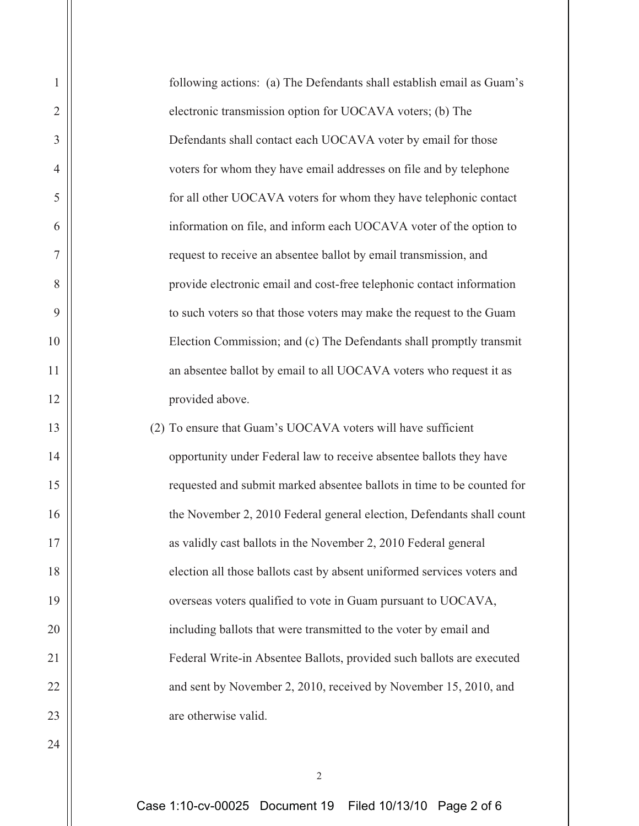| $\mathbf{1}$   | following actions: (a) The Defendants shall establish email as Guam's   |
|----------------|-------------------------------------------------------------------------|
| $\overline{2}$ | electronic transmission option for UOCAVA voters; (b) The               |
| 3              | Defendants shall contact each UOCAVA voter by email for those           |
| $\overline{4}$ | voters for whom they have email addresses on file and by telephone      |
| 5              | for all other UOCAVA voters for whom they have telephonic contact       |
| 6              | information on file, and inform each UOCAVA voter of the option to      |
| $\overline{7}$ | request to receive an absentee ballot by email transmission, and        |
| 8              | provide electronic email and cost-free telephonic contact information   |
| 9              | to such voters so that those voters may make the request to the Guam    |
| 10             | Election Commission; and (c) The Defendants shall promptly transmit     |
| 11             | an absentee ballot by email to all UOCAVA voters who request it as      |
| 12             | provided above.                                                         |
| 13             | (2) To ensure that Guam's UOCAVA voters will have sufficient            |
| 14             | opportunity under Federal law to receive absentee ballots they have     |
| 15             | requested and submit marked absentee ballots in time to be counted for  |
| 16             | the November 2, 2010 Federal general election, Defendants shall count   |
| 17             | as validly cast ballots in the November 2, 2010 Federal general         |
| 18             | election all those ballots cast by absent uniformed services voters and |
| 19             | overseas voters qualified to vote in Guam pursuant to UOCAVA,           |
| 20             | including ballots that were transmitted to the voter by email and       |
| 21             | Federal Write-in Absentee Ballots, provided such ballots are executed   |
| 22             | and sent by November 2, 2010, received by November 15, 2010, and        |
| 23             | are otherwise valid.                                                    |
| 24             |                                                                         |

2

Case 1:10-cv-00025 Document 19 Filed 10/13/10 Page 2 of 6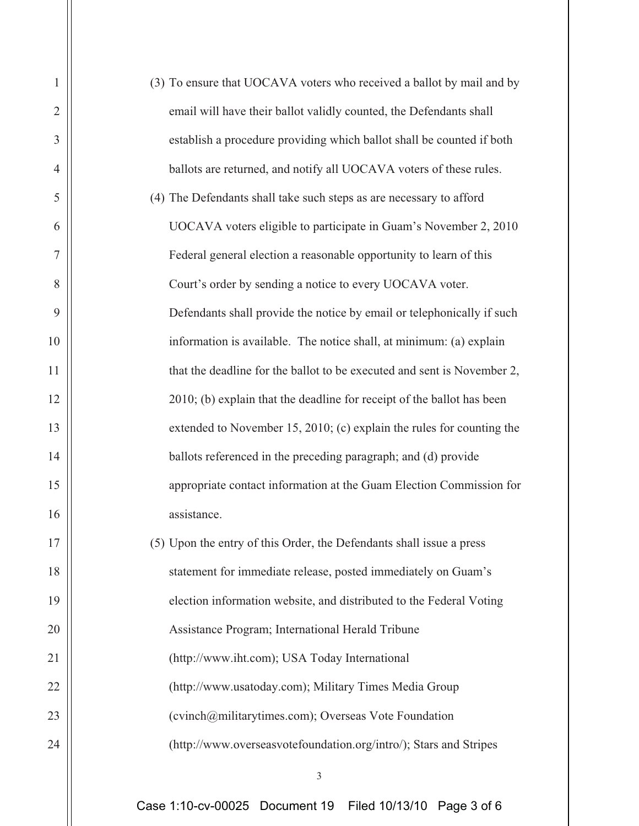| $\mathbf{1}$   | (3) To ensure that UOCAVA voters who received a ballot by mail and by   |  |  |  |  |  |
|----------------|-------------------------------------------------------------------------|--|--|--|--|--|
| $\mathbf{2}$   | email will have their ballot validly counted, the Defendants shall      |  |  |  |  |  |
| 3              | establish a procedure providing which ballot shall be counted if both   |  |  |  |  |  |
| $\overline{4}$ | ballots are returned, and notify all UOCAVA voters of these rules.      |  |  |  |  |  |
| 5              | (4) The Defendants shall take such steps as are necessary to afford     |  |  |  |  |  |
| 6              | UOCAVA voters eligible to participate in Guam's November 2, 2010        |  |  |  |  |  |
| $\overline{7}$ | Federal general election a reasonable opportunity to learn of this      |  |  |  |  |  |
| 8              | Court's order by sending a notice to every UOCAVA voter.                |  |  |  |  |  |
| 9              | Defendants shall provide the notice by email or telephonically if such  |  |  |  |  |  |
| 10             | information is available. The notice shall, at minimum: (a) explain     |  |  |  |  |  |
| 11             | that the deadline for the ballot to be executed and sent is November 2, |  |  |  |  |  |
| 12             | 2010; (b) explain that the deadline for receipt of the ballot has been  |  |  |  |  |  |
| 13             | extended to November 15, 2010; (c) explain the rules for counting the   |  |  |  |  |  |
| 14             | ballots referenced in the preceding paragraph; and (d) provide          |  |  |  |  |  |
| 15             | appropriate contact information at the Guam Election Commission for     |  |  |  |  |  |
| 16             | assistance.                                                             |  |  |  |  |  |
| 17             | (5) Upon the entry of this Order, the Defendants shall issue a press    |  |  |  |  |  |
| 18             | statement for immediate release, posted immediately on Guam's           |  |  |  |  |  |
| 19             | election information website, and distributed to the Federal Voting     |  |  |  |  |  |
| 20             | Assistance Program; International Herald Tribune                        |  |  |  |  |  |
| 21             | (http://www.iht.com); USA Today International                           |  |  |  |  |  |
| 22             | (http://www.usatoday.com); Military Times Media Group                   |  |  |  |  |  |
| 23             | (cvinch@militarytimes.com); Overseas Vote Foundation                    |  |  |  |  |  |
| 24             | (http://www.overseasvotefoundation.org/intro/); Stars and Stripes       |  |  |  |  |  |
|                | 3                                                                       |  |  |  |  |  |
|                | Case 1:10-cv-00025 Document 19<br>Filed 10/13/10 Page 3 of 6            |  |  |  |  |  |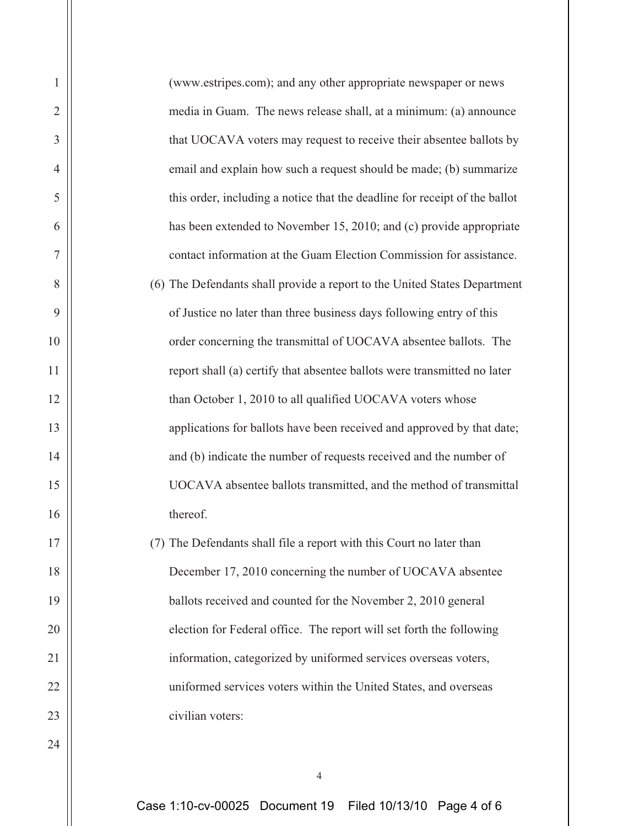| $\mathbf{1}$   | (www.estripes.com); and any other appropriate newspaper or news            |
|----------------|----------------------------------------------------------------------------|
| $\mathfrak{2}$ | media in Guam. The news release shall, at a minimum: (a) announce          |
| 3              | that UOCAVA voters may request to receive their absentee ballots by        |
| $\overline{4}$ | email and explain how such a request should be made; (b) summarize         |
| 5              | this order, including a notice that the deadline for receipt of the ballot |
| 6              | has been extended to November 15, 2010; and (c) provide appropriate        |
| $\overline{7}$ | contact information at the Guam Election Commission for assistance.        |
| 8              | (6) The Defendants shall provide a report to the United States Department  |
| 9              | of Justice no later than three business days following entry of this       |
| 10             | order concerning the transmittal of UOCAVA absentee ballots. The           |
| 11             | report shall (a) certify that absentee ballots were transmitted no later   |
| 12             | than October 1, 2010 to all qualified UOCAVA voters whose                  |
| 13             | applications for ballots have been received and approved by that date;     |
| 14             | and (b) indicate the number of requests received and the number of         |
| 15             | UOCAVA absentee ballots transmitted, and the method of transmittal         |
| 16             | thereof.                                                                   |
| 17             | (7) The Defendants shall file a report with this Court no later than       |
| 18             | December 17, 2010 concerning the number of UOCAVA absentee                 |
| 19             | ballots received and counted for the November 2, 2010 general              |
| 20             | election for Federal office. The report will set forth the following       |
| 21             | information, categorized by uniformed services overseas voters,            |
| 22             | uniformed services voters within the United States, and overseas           |
| 23             | civilian voters:                                                           |
| 24             |                                                                            |
|                | 4                                                                          |

Case 1:10-cv-00025 Document 19 Filed 10/13/10 Page 4 of 6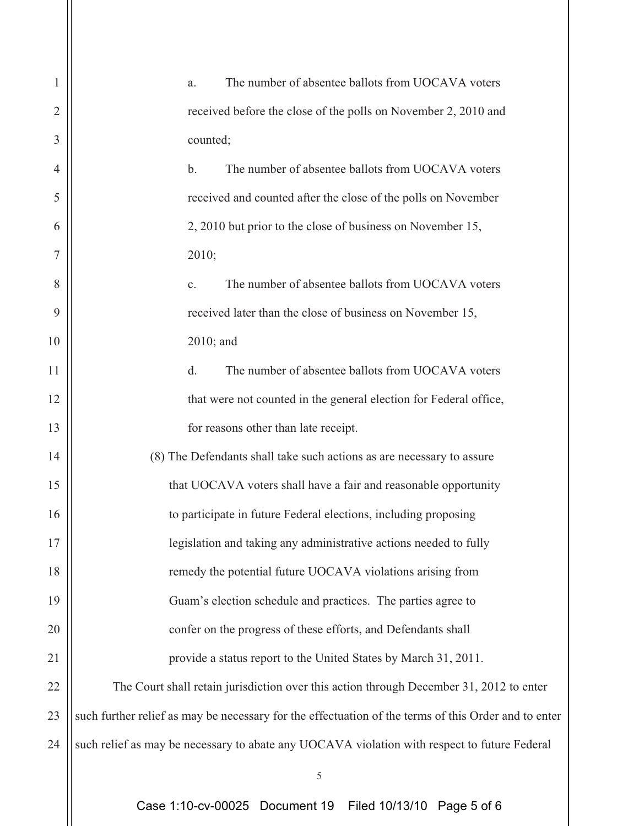| 1              | The number of absentee ballots from UOCAVA voters<br>a.                                              |  |  |  |  |
|----------------|------------------------------------------------------------------------------------------------------|--|--|--|--|
| $\overline{2}$ | received before the close of the polls on November 2, 2010 and                                       |  |  |  |  |
| 3              | counted;                                                                                             |  |  |  |  |
| $\overline{4}$ | The number of absentee ballots from UOCAVA voters<br>$\mathbf b$ .                                   |  |  |  |  |
| 5              | received and counted after the close of the polls on November                                        |  |  |  |  |
| 6              | 2, 2010 but prior to the close of business on November 15,                                           |  |  |  |  |
| 7              | 2010;                                                                                                |  |  |  |  |
| 8              | The number of absentee ballots from UOCAVA voters<br>c.                                              |  |  |  |  |
| 9              | received later than the close of business on November 15,                                            |  |  |  |  |
| 10             | $2010$ ; and                                                                                         |  |  |  |  |
| 11             | The number of absentee ballots from UOCAVA voters<br>d.                                              |  |  |  |  |
| 12             | that were not counted in the general election for Federal office,                                    |  |  |  |  |
| 13             | for reasons other than late receipt.                                                                 |  |  |  |  |
| 14             | (8) The Defendants shall take such actions as are necessary to assure                                |  |  |  |  |
| 15             | that UOCAVA voters shall have a fair and reasonable opportunity                                      |  |  |  |  |
| 16             | to participate in future Federal elections, including proposing                                      |  |  |  |  |
| 17             | legislation and taking any administrative actions needed to fully                                    |  |  |  |  |
| 18             | remedy the potential future UOCAVA violations arising from                                           |  |  |  |  |
| 19             | Guam's election schedule and practices. The parties agree to                                         |  |  |  |  |
| 20             | confer on the progress of these efforts, and Defendants shall                                        |  |  |  |  |
| 21             | provide a status report to the United States by March 31, 2011.                                      |  |  |  |  |
| 22             | The Court shall retain jurisdiction over this action through December 31, 2012 to enter              |  |  |  |  |
| 23             | such further relief as may be necessary for the effectuation of the terms of this Order and to enter |  |  |  |  |
| 24             | such relief as may be necessary to abate any UOCAVA violation with respect to future Federal         |  |  |  |  |
|                | 5                                                                                                    |  |  |  |  |

Case 1:10-cv-00025 Document 19 Filed 10/13/10 Page 5 of 6